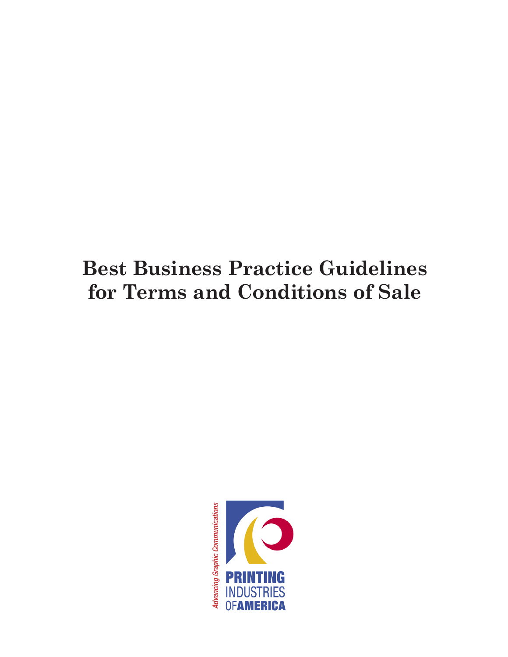# **Best Business Practice Guidelines for Terms and Conditions of Sale**

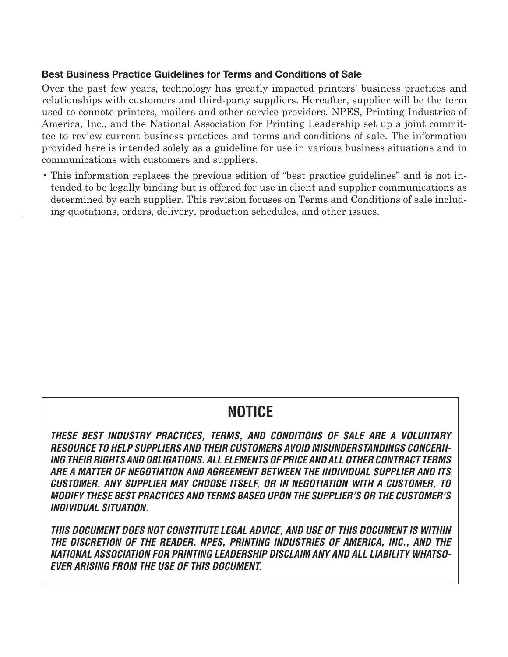### **Best Business Practice Guidelines for Terms and Conditions of Sale**

Over the past few years, technology has greatly impacted printers' business practices and relationships with customers and third-party suppliers. Hereafter, supplier will be the term used to connote printers, mailers and other service providers. NPES, Printing Industries of America, Inc., and the National Association for Printing Leadership set up a joint committee to review current business practices and terms and conditions of sale. The information provided here is intended solely as a guideline for use in various business situations and in communications with customers and suppliers.

• This information replaces the previous edition of "best practice guidelines" and is not intended to be legally binding but is offered for use in client and supplier communications as determined by each supplier. This revision focuses on Terms and Conditions of sale including quotations, orders, delivery, production schedules, and other issues.

# **NOTICE**

*THESE BEST INDUSTRY PRACTICES, TERMS, AND CONDITIONS OF SALE ARE A VOLUNTARY RESOURCE TO HELP SUPPLIERS AND THEIR CUSTOMERS AVOID MISUNDERSTANDINGS CONCERN-ING THEIR RIGHTS AND OBLIGATIONS. ALL ELEMENTS OF PRICE AND ALL OTHER CONTRACT TERMS ARE A MATTER OF NEGOTIATION AND AGREEMENT BETWEEN THE INDIVIDUAL SUPPLIER AND ITS CUSTOMER. ANY SUPPLIER MAY CHOOSE ITSELF, OR IN NEGOTIATION WITH A CUSTOMER, TO MODIFY THESE BEST PRACTICES AND TERMS BASED UPON THE SUPPLIER'S OR THE CUSTOMER'S INDIVIDUAL SITUATION.* 

*THIS DOCUMENT DOES NOT CONSTITUTE LEGAL ADVICE, AND USE OF THIS DOCUMENT IS WITHIN THE DISCRETION OF THE READER. NPES, PRINTING INDUSTRIES OF AMERICA, INC., AND THE NATIONAL ASSOCIATION FOR PRINTING LEADERSHIP DISCLAIM ANY AND ALL LIABILITY WHATSO-EVER ARISING FROM THE USE OF THIS DOCUMENT.*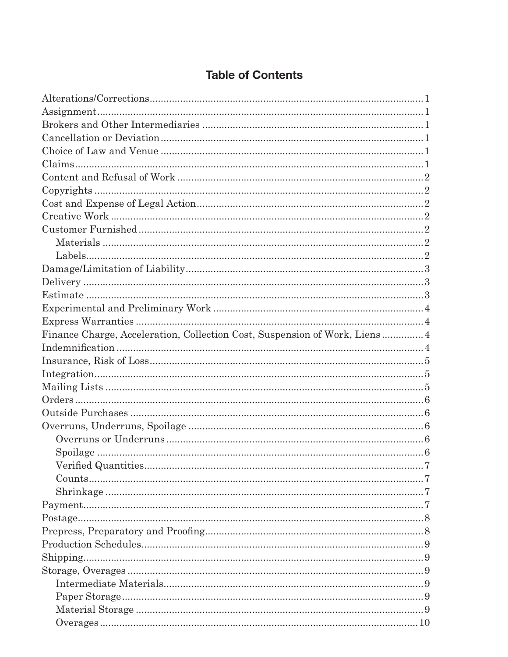# **Table of Contents**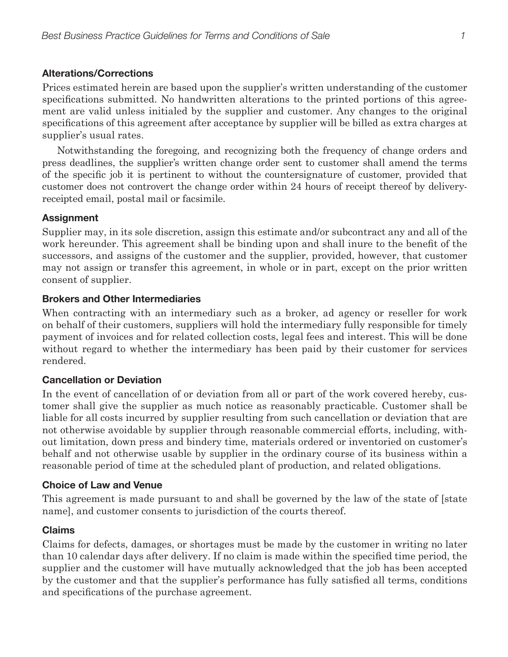#### **Alterations/Corrections**

Prices estimated herein are based upon the supplier's written understanding of the customer specifications submitted. No handwritten alterations to the printed portions of this agreement are valid unless initialed by the supplier and customer. Any changes to the original specifications of this agreement after acceptance by supplier will be billed as extra charges at supplier's usual rates.

Notwithstanding the foregoing, and recognizing both the frequency of change orders and press deadlines, the supplier's written change order sent to customer shall amend the terms of the specific job it is pertinent to without the countersignature of customer, provided that customer does not controvert the change order within 24 hours of receipt thereof by deliveryreceipted email, postal mail or facsimile.

#### **Assignment**

Supplier may, in its sole discretion, assign this estimate and/or subcontract any and all of the work hereunder. This agreement shall be binding upon and shall inure to the benefit of the successors, and assigns of the customer and the supplier, provided, however, that customer may not assign or transfer this agreement, in whole or in part, except on the prior written consent of supplier.

#### **Brokers and Other Intermediaries**

When contracting with an intermediary such as a broker, ad agency or reseller for work on behalf of their customers, suppliers will hold the intermediary fully responsible for timely payment of invoices and for related collection costs, legal fees and interest. This will be done without regard to whether the intermediary has been paid by their customer for services rendered.

#### **Cancellation or Deviation**

In the event of cancellation of or deviation from all or part of the work covered hereby, customer shall give the supplier as much notice as reasonably practicable. Customer shall be liable for all costs incurred by supplier resulting from such cancellation or deviation that are not otherwise avoidable by supplier through reasonable commercial efforts, including, without limitation, down press and bindery time, materials ordered or inventoried on customer's behalf and not otherwise usable by supplier in the ordinary course of its business within a reasonable period of time at the scheduled plant of production, and related obligations.

#### **Choice of Law and Venue**

This agreement is made pursuant to and shall be governed by the law of the state of [state name], and customer consents to jurisdiction of the courts thereof.

#### **Claims**

Claims for defects, damages, or shortages must be made by the customer in writing no later than 10 calendar days after delivery. If no claim is made within the specified time period, the supplier and the customer will have mutually acknowledged that the job has been accepted by the customer and that the supplier's performance has fully satisfied all terms, conditions and specifications of the purchase agreement.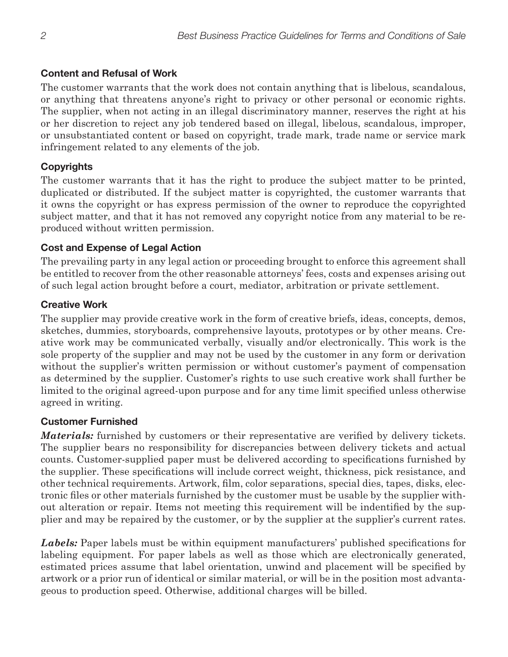# **Content and Refusal of Work**

The customer warrants that the work does not contain anything that is libelous, scandalous, or anything that threatens anyone's right to privacy or other personal or economic rights. The supplier, when not acting in an illegal discriminatory manner, reserves the right at his or her discretion to reject any job tendered based on illegal, libelous, scandalous, improper, or unsubstantiated content or based on copyright, trade mark, trade name or service mark infringement related to any elements of the job.

# **Copyrights**

The customer warrants that it has the right to produce the subject matter to be printed, duplicated or distributed. If the subject matter is copyrighted, the customer warrants that it owns the copyright or has express permission of the owner to reproduce the copyrighted subject matter, and that it has not removed any copyright notice from any material to be reproduced without written permission.

# **Cost and Expense of Legal Action**

The prevailing party in any legal action or proceeding brought to enforce this agreement shall be entitled to recover from the other reasonable attorneys' fees, costs and expenses arising out of such legal action brought before a court, mediator, arbitration or private settlement.

# **Creative Work**

The supplier may provide creative work in the form of creative briefs, ideas, concepts, demos, sketches, dummies, storyboards, comprehensive layouts, prototypes or by other means. Creative work may be communicated verbally, visually and/or electronically. This work is the sole property of the supplier and may not be used by the customer in any form or derivation without the supplier's written permission or without customer's payment of compensation as determined by the supplier. Customer's rights to use such creative work shall further be limited to the original agreed-upon purpose and for any time limit specified unless otherwise agreed in writing.

#### **Customer Furnished**

*Materials:* furnished by customers or their representative are verified by delivery tickets. The supplier bears no responsibility for discrepancies between delivery tickets and actual counts. Customer-supplied paper must be delivered according to specifications furnished by the supplier. These specifications will include correct weight, thickness, pick resistance, and other technical requirements. Artwork, film, color separations, special dies, tapes, disks, electronic files or other materials furnished by the customer must be usable by the supplier without alteration or repair. Items not meeting this requirement will be indentified by the supplier and may be repaired by the customer, or by the supplier at the supplier's current rates.

*Labels:* Paper labels must be within equipment manufacturers' published specifications for labeling equipment. For paper labels as well as those which are electronically generated, estimated prices assume that label orientation, unwind and placement will be specified by artwork or a prior run of identical or similar material, or will be in the position most advantageous to production speed. Otherwise, additional charges will be billed.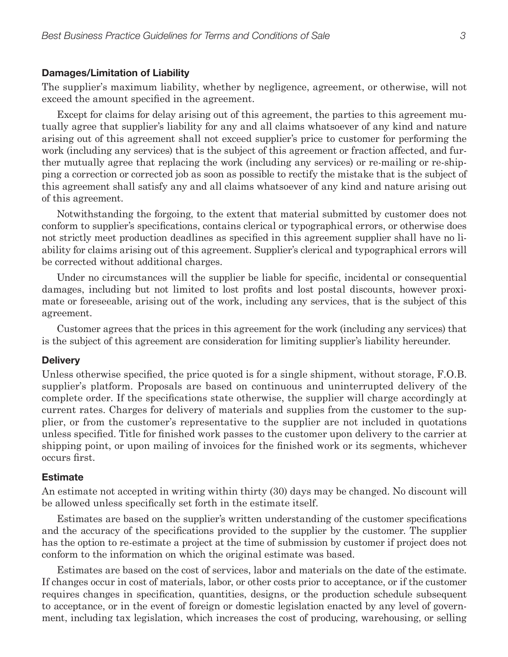#### **Damages/Limitation of Liability**

The supplier's maximum liability, whether by negligence, agreement, or otherwise, will not exceed the amount specified in the agreement.

Except for claims for delay arising out of this agreement, the parties to this agreement mutually agree that supplier's liability for any and all claims whatsoever of any kind and nature arising out of this agreement shall not exceed supplier's price to customer for performing the work (including any services) that is the subject of this agreement or fraction affected, and further mutually agree that replacing the work (including any services) or re-mailing or re-shipping a correction or corrected job as soon as possible to rectify the mistake that is the subject of this agreement shall satisfy any and all claims whatsoever of any kind and nature arising out of this agreement.

Notwithstanding the forgoing, to the extent that material submitted by customer does not conform to supplier's specifications, contains clerical or typographical errors, or otherwise does not strictly meet production deadlines as specified in this agreement supplier shall have no liability for claims arising out of this agreement. Supplier's clerical and typographical errors will be corrected without additional charges.

Under no circumstances will the supplier be liable for specific, incidental or consequential damages, including but not limited to lost profits and lost postal discounts, however proximate or foreseeable, arising out of the work, including any services, that is the subject of this agreement.

Customer agrees that the prices in this agreement for the work (including any services) that is the subject of this agreement are consideration for limiting supplier's liability hereunder.

#### **Delivery**

Unless otherwise specified, the price quoted is for a single shipment, without storage, F.O.B. supplier's platform. Proposals are based on continuous and uninterrupted delivery of the complete order. If the specifications state otherwise, the supplier will charge accordingly at current rates. Charges for delivery of materials and supplies from the customer to the supplier, or from the customer's representative to the supplier are not included in quotations unless specified. Title for finished work passes to the customer upon delivery to the carrier at shipping point, or upon mailing of invoices for the finished work or its segments, whichever occurs first.

#### **Estimate**

An estimate not accepted in writing within thirty (30) days may be changed. No discount will be allowed unless specifically set forth in the estimate itself.

Estimates are based on the supplier's written understanding of the customer specifications and the accuracy of the specifications provided to the supplier by the customer. The supplier has the option to re-estimate a project at the time of submission by customer if project does not conform to the information on which the original estimate was based.

Estimates are based on the cost of services, labor and materials on the date of the estimate. If changes occur in cost of materials, labor, or other costs prior to acceptance, or if the customer requires changes in specification, quantities, designs, or the production schedule subsequent to acceptance, or in the event of foreign or domestic legislation enacted by any level of government, including tax legislation, which increases the cost of producing, warehousing, or selling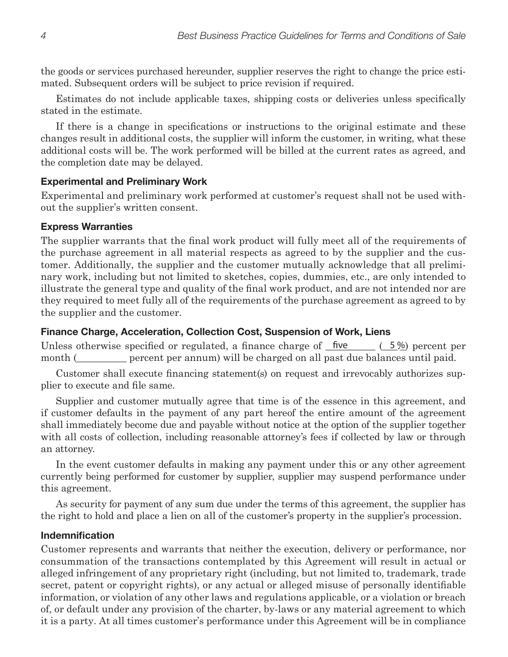the goods or services purchased hereunder, supplier reserves the right to change the price estimated. Subsequent orders will be subject to price revision if required.

Estimates do not include applicable taxes, shipping costs or deliveries unless specifically stated in the estimate.

If there is a change in specifications or instructions to the original estimate and these changes result in additional costs, the supplier will inform the customer, in writing, what these additional costs will be. The work performed will be billed at the current rates as agreed, and the completion date may be delayed.

#### **Experimental and Preliminary Work**

Experimental and preliminary work performed at customer's request shall not be used without the supplier's written consent.

#### **Express Warranties**

The supplier warrants that the final work product will fully meet all of the requirements of the purchase agreement in all material respects as agreed to by the supplier and the customer. Additionally, the supplier and the customer mutually acknowledge that all preliminary work, including but not limited to sketches, copies, dummies, etc., are only intended to illustrate the general type and quality of the final work product, and are not intended nor are they required to meet fully all of the requirements of the purchase agreement as agreed to by the supplier and the customer.

#### **Finance Charge, Acceleration, Collection Cost, Suspension of Work, Liens**

Unless otherwise specified or regulated, a finance charge of  $\Gamma$  five month (electron percent per annum) will be charged on all past due balances until paid.  $(5\%)$  percent per

Customer shall execute financing statement(s) on request and irrevocably authorizes supplier to execute and file same.

Supplier and customer mutually agree that time is of the essence in this agreement, and if customer defaults in the payment of any part hereof the entire amount of the agreement shall immediately become due and payable without notice at the option of the supplier together with all costs of collection, including reasonable attorney's fees if collected by law or through an attorney.

In the event customer defaults in making any payment under this or any other agreement currently being performed for customer by supplier, supplier may suspend performance under this agreement.

As security for payment of any sum due under the terms of this agreement, the supplier has the right to hold and place a lien on all of the customer's property in the supplier's procession.

#### **Indemnification**

Customer represents and warrants that neither the execution, delivery or performance, nor consummation of the transactions contemplated by this Agreement will result in actual or alleged infringement of any proprietary right (including, but not limited to, trademark, trade secret, patent or copyright rights), or any actual or alleged misuse of personally identifiable information, or violation of any other laws and regulations applicable, or a violation or breach of, or default under any provision of the charter, by-laws or any material agreement to which it is a party. At all times customer's performance under this Agreement will be in compliance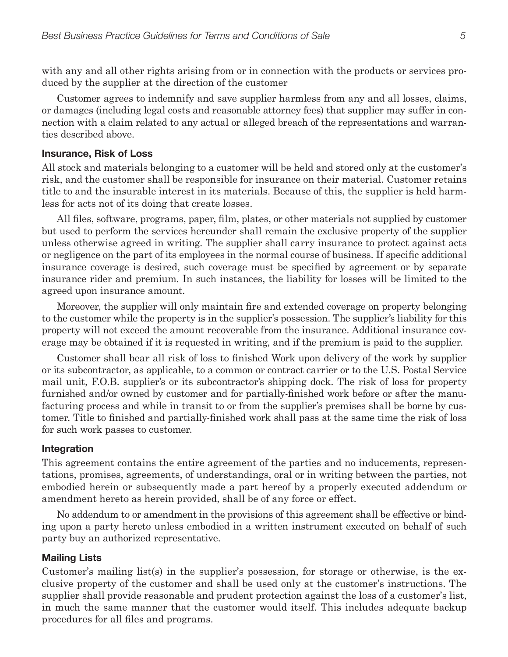with any and all other rights arising from or in connection with the products or services produced by the supplier at the direction of the customer

Customer agrees to indemnify and save supplier harmless from any and all losses, claims, or damages (including legal costs and reasonable attorney fees) that supplier may suffer in connection with a claim related to any actual or alleged breach of the representations and warranties described above.

#### **Insurance, Risk of Loss**

All stock and materials belonging to a customer will be held and stored only at the customer's risk, and the customer shall be responsible for insurance on their material. Customer retains title to and the insurable interest in its materials. Because of this, the supplier is held harmless for acts not of its doing that create losses.

All files, software, programs, paper, film, plates, or other materials not supplied by customer but used to perform the services hereunder shall remain the exclusive property of the supplier unless otherwise agreed in writing. The supplier shall carry insurance to protect against acts or negligence on the part of its employees in the normal course of business. If specific additional insurance coverage is desired, such coverage must be specified by agreement or by separate insurance rider and premium. In such instances, the liability for losses will be limited to the agreed upon insurance amount.

Moreover, the supplier will only maintain fire and extended coverage on property belonging to the customer while the property is in the supplier's possession. The supplier's liability for this property will not exceed the amount recoverable from the insurance. Additional insurance coverage may be obtained if it is requested in writing, and if the premium is paid to the supplier.

Customer shall bear all risk of loss to finished Work upon delivery of the work by supplier or its subcontractor, as applicable, to a common or contract carrier or to the U.S. Postal Service mail unit, F.O.B. supplier's or its subcontractor's shipping dock. The risk of loss for property furnished and/or owned by customer and for partially-finished work before or after the manufacturing process and while in transit to or from the supplier's premises shall be borne by customer. Title to finished and partially-finished work shall pass at the same time the risk of loss for such work passes to customer.

#### **Integration**

This agreement contains the entire agreement of the parties and no inducements, representations, promises, agreements, of understandings, oral or in writing between the parties, not embodied herein or subsequently made a part hereof by a properly executed addendum or amendment hereto as herein provided, shall be of any force or effect.

No addendum to or amendment in the provisions of this agreement shall be effective or binding upon a party hereto unless embodied in a written instrument executed on behalf of such party buy an authorized representative.

#### **Mailing Lists**

Customer's mailing list(s) in the supplier's possession, for storage or otherwise, is the exclusive property of the customer and shall be used only at the customer's instructions. The supplier shall provide reasonable and prudent protection against the loss of a customer's list, in much the same manner that the customer would itself. This includes adequate backup procedures for all files and programs.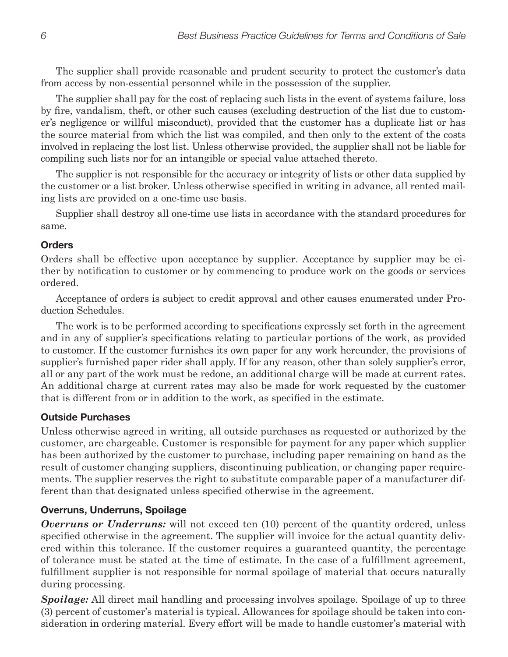The supplier shall provide reasonable and prudent security to protect the customer's data from access by non-essential personnel while in the possession of the supplier.

The supplier shall pay for the cost of replacing such lists in the event of systems failure, loss by fire, vandalism, theft, or other such causes (excluding destruction of the list due to customer's negligence or willful misconduct), provided that the customer has a duplicate list or has the source material from which the list was compiled, and then only to the extent of the costs involved in replacing the lost list. Unless otherwise provided, the supplier shall not be liable for compiling such lists nor for an intangible or special value attached thereto.

The supplier is not responsible for the accuracy or integrity of lists or other data supplied by the customer or a list broker. Unless otherwise specified in writing in advance, all rented mailing lists are provided on a one-time use basis.

Supplier shall destroy all one-time use lists in accordance with the standard procedures for same.

# **Orders**

Orders shall be effective upon acceptance by supplier. Acceptance by supplier may be either by notification to customer or by commencing to produce work on the goods or services ordered.

Acceptance of orders is subject to credit approval and other causes enumerated under Production Schedules.

The work is to be performed according to specifications expressly set forth in the agreement and in any of supplier's specifications relating to particular portions of the work, as provided to customer. If the customer furnishes its own paper for any work hereunder, the provisions of supplier's furnished paper rider shall apply. If for any reason, other than solely supplier's error, all or any part of the work must be redone, an additional charge will be made at current rates. An additional charge at current rates may also be made for work requested by the customer that is different from or in addition to the work, as specified in the estimate.

#### **Outside Purchases**

Unless otherwise agreed in writing, all outside purchases as requested or authorized by the customer, are chargeable. Customer is responsible for payment for any paper which supplier has been authorized by the customer to purchase, including paper remaining on hand as the result of customer changing suppliers, discontinuing publication, or changing paper requirements. The supplier reserves the right to substitute comparable paper of a manufacturer different than that designated unless specified otherwise in the agreement.

# **Overruns, Underruns, Spoilage**

**Overruns or Underruns:** will not exceed ten (10) percent of the quantity ordered, unless specified otherwise in the agreement. The supplier will invoice for the actual quantity delivered within this tolerance. If the customer requires a guaranteed quantity, the percentage of tolerance must be stated at the time of estimate. In the case of a fulfillment agreement, fulfillment supplier is not responsible for normal spoilage of material that occurs naturally during processing.

**Spoilage:** All direct mail handling and processing involves spoilage. Spoilage of up to three (3) percent of customer's material is typical. Allowances for spoilage should be taken into consideration in ordering material. Every effort will be made to handle customer's material with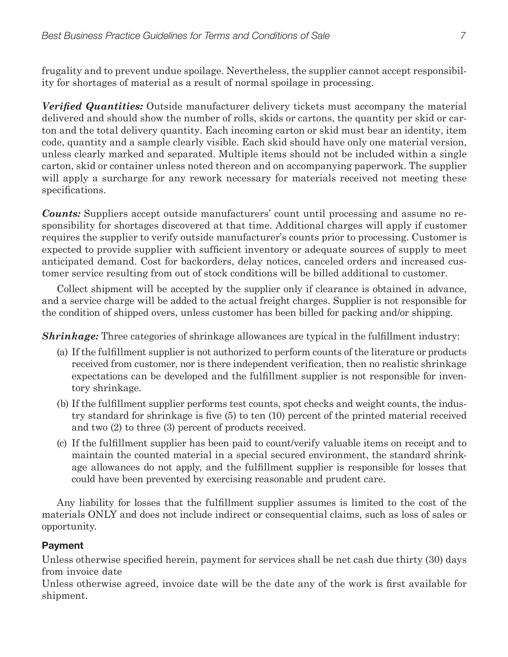frugality and to prevent undue spoilage. Nevertheless, the supplier cannot accept responsibility for shortages of material as a result of normal spoilage in processing.

*Verified Quantities:* Outside manufacturer delivery tickets must accompany the material delivered and should show the number of rolls, skids or cartons, the quantity per skid or carton and the total delivery quantity. Each incoming carton or skid must bear an identity, item code, quantity and a sample clearly visible. Each skid should have only one material version, unless clearly marked and separated. Multiple items should not be included within a single carton, skid or container unless noted thereon and on accompanying paperwork. The supplier will apply a surcharge for any rework necessary for materials received not meeting these specifications.

*Counts:* Suppliers accept outside manufacturers' count until processing and assume no responsibility for shortages discovered at that time. Additional charges will apply if customer requires the supplier to verify outside manufacturer's counts prior to processing. Customer is expected to provide supplier with sufficient inventory or adequate sources of supply to meet anticipated demand. Cost for backorders, delay notices, canceled orders and increased customer service resulting from out of stock conditions will be billed additional to customer.

Collect shipment will be accepted by the supplier only if clearance is obtained in advance, and a service charge will be added to the actual freight charges. Supplier is not responsible for the condition of shipped overs, unless customer has been billed for packing and/or shipping.

*Shrinkage:* Three categories of shrinkage allowances are typical in the fulfillment industry:

- (a) If the fulfillment supplier is not authorized to perform counts of the literature or products received from customer, nor is there independent verification, then no realistic shrinkage expectations can be developed and the fulfillment supplier is not responsible for inventory shrinkage.
- (b) If the fulfillment supplier performs test counts, spot checks and weight counts, the industry standard for shrinkage is five (5) to ten (10) percent of the printed material received and two (2) to three (3) percent of products received.
- (c) If the fulfillment supplier has been paid to count/verify valuable items on receipt and to maintain the counted material in a special secured environment, the standard shrinkage allowances do not apply, and the fulfillment supplier is responsible for losses that could have been prevented by exercising reasonable and prudent care.

Any liability for losses that the fulfillment supplier assumes is limited to the cost of the materials ONLY and does not include indirect or consequential claims, such as loss of sales or opportunity.

# **Payment**

Unless otherwise specified herein, payment for services shall be net cash due thirty (30) days from invoice date

Unless otherwise agreed, invoice date will be the date any of the work is first available for shipment.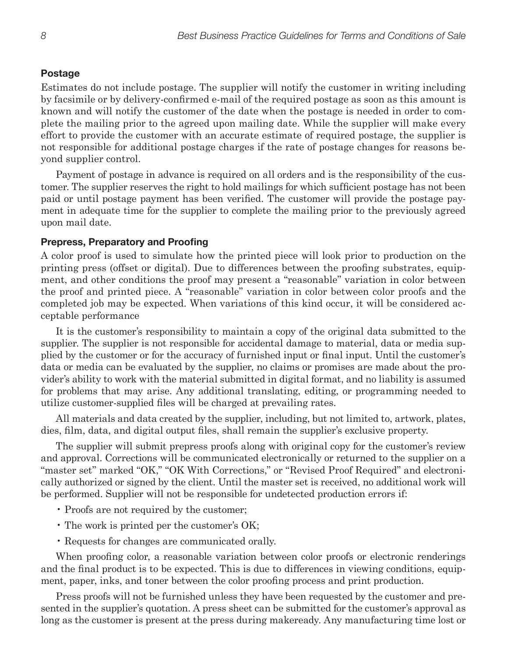#### **Postage**

Estimates do not include postage. The supplier will notify the customer in writing including by facsimile or by delivery-confirmed e-mail of the required postage as soon as this amount is known and will notify the customer of the date when the postage is needed in order to complete the mailing prior to the agreed upon mailing date. While the supplier will make every effort to provide the customer with an accurate estimate of required postage, the supplier is not responsible for additional postage charges if the rate of postage changes for reasons beyond supplier control.

Payment of postage in advance is required on all orders and is the responsibility of the customer. The supplier reserves the right to hold mailings for which sufficient postage has not been paid or until postage payment has been verified. The customer will provide the postage payment in adequate time for the supplier to complete the mailing prior to the previously agreed upon mail date.

#### **Prepress, Preparatory and Proofing**

A color proof is used to simulate how the printed piece will look prior to production on the printing press (offset or digital). Due to differences between the proofing substrates, equipment, and other conditions the proof may present a "reasonable" variation in color between the proof and printed piece. A "reasonable" variation in color between color proofs and the completed job may be expected. When variations of this kind occur, it will be considered acceptable performance

It is the customer's responsibility to maintain a copy of the original data submitted to the supplier. The supplier is not responsible for accidental damage to material, data or media supplied by the customer or for the accuracy of furnished input or final input. Until the customer's data or media can be evaluated by the supplier, no claims or promises are made about the provider's ability to work with the material submitted in digital format, and no liability is assumed for problems that may arise. Any additional translating, editing, or programming needed to utilize customer-supplied files will be charged at prevailing rates.

All materials and data created by the supplier, including, but not limited to, artwork, plates, dies, film, data, and digital output files, shall remain the supplier's exclusive property.

The supplier will submit prepress proofs along with original copy for the customer's review and approval. Corrections will be communicated electronically or returned to the supplier on a "master set" marked "OK," "OK With Corrections," or "Revised Proof Required" and electronically authorized or signed by the client. Until the master set is received, no additional work will be performed. Supplier will not be responsible for undetected production errors if:

- Proofs are not required by the customer;
- The work is printed per the customer's OK;
- Requests for changes are communicated orally.

When proofing color, a reasonable variation between color proofs or electronic renderings and the final product is to be expected. This is due to differences in viewing conditions, equipment, paper, inks, and toner between the color proofing process and print production.

Press proofs will not be furnished unless they have been requested by the customer and presented in the supplier's quotation. A press sheet can be submitted for the customer's approval as long as the customer is present at the press during makeready. Any manufacturing time lost or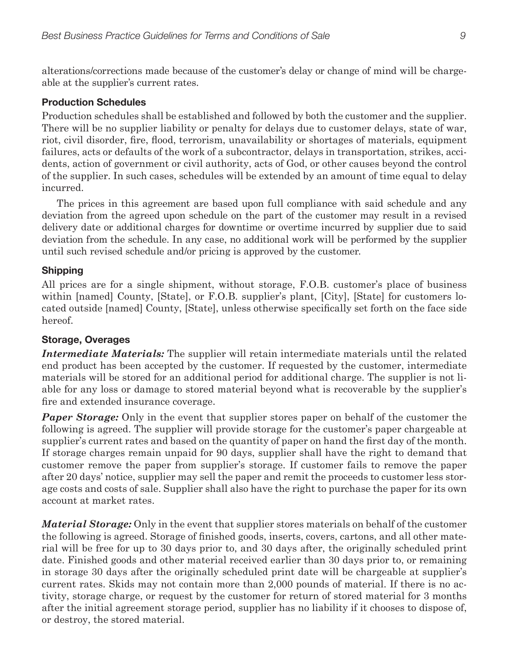alterations/corrections made because of the customer's delay or change of mind will be chargeable at the supplier's current rates.

#### **Production Schedules**

Production schedules shall be established and followed by both the customer and the supplier. There will be no supplier liability or penalty for delays due to customer delays, state of war, riot, civil disorder, fire, flood, terrorism, unavailability or shortages of materials, equipment failures, acts or defaults of the work of a subcontractor, delays in transportation, strikes, accidents, action of government or civil authority, acts of God, or other causes beyond the control of the supplier. In such cases, schedules will be extended by an amount of time equal to delay incurred.

The prices in this agreement are based upon full compliance with said schedule and any deviation from the agreed upon schedule on the part of the customer may result in a revised delivery date or additional charges for downtime or overtime incurred by supplier due to said deviation from the schedule. In any case, no additional work will be performed by the supplier until such revised schedule and/or pricing is approved by the customer.

#### **Shipping**

All prices are for a single shipment, without storage, F.O.B. customer's place of business within [named] County, [State], or F.O.B. supplier's plant, [City], [State] for customers located outside [named] County, [State], unless otherwise specifically set forth on the face side hereof.

#### **Storage, Overages**

*Intermediate Materials:* The supplier will retain intermediate materials until the related end product has been accepted by the customer. If requested by the customer, intermediate materials will be stored for an additional period for additional charge. The supplier is not liable for any loss or damage to stored material beyond what is recoverable by the supplier's fire and extended insurance coverage.

*Paper Storage:* Only in the event that supplier stores paper on behalf of the customer the following is agreed. The supplier will provide storage for the customer's paper chargeable at supplier's current rates and based on the quantity of paper on hand the first day of the month. If storage charges remain unpaid for 90 days, supplier shall have the right to demand that customer remove the paper from supplier's storage. If customer fails to remove the paper after 20 days' notice, supplier may sell the paper and remit the proceeds to customer less storage costs and costs of sale. Supplier shall also have the right to purchase the paper for its own account at market rates.

*Material Storage:* Only in the event that supplier stores materials on behalf of the customer the following is agreed. Storage of finished goods, inserts, covers, cartons, and all other material will be free for up to 30 days prior to, and 30 days after, the originally scheduled print date. Finished goods and other material received earlier than 30 days prior to, or remaining in storage 30 days after the originally scheduled print date will be chargeable at supplier's current rates. Skids may not contain more than 2,000 pounds of material. If there is no activity, storage charge, or request by the customer for return of stored material for 3 months after the initial agreement storage period, supplier has no liability if it chooses to dispose of, or destroy, the stored material.